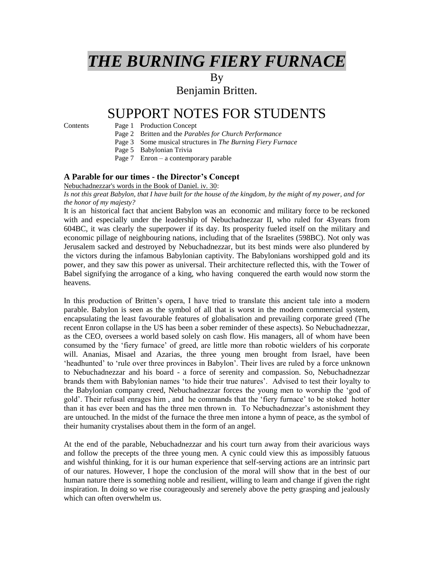# *THE BURNING FIERY FURNACE*

By

Benjamin Britten.

# SUPPORT NOTES FOR STUDENTS

## Contents Page 1 Production Concept

- Page 2 Britten and the *Parables for Church Performance*
- Page 3 Some musical structures in *The Burning Fiery Furnace*
- Page 5 Babylonian Trivia
- Page 7 Enron a contemporary parable

### **A Parable for our times - the Director's Concept**

#### Nebuchadnezzar's words in the Book of Daniel. iv. 30:

*Is not this great Babylon, that I have built for the house of the kingdom, by the might of my power, and for the honor of my majesty?*

It is an historical fact that ancient Babylon was an economic and military force to be reckoned with and especially under the leadership of Nebuchadnezzar II, who ruled for 43years from 604BC, it was clearly the superpower if its day. Its prosperity fueled itself on the military and economic pillage of neighbouring nations, including that of the Israelites (598BC). Not only was Jerusalem sacked and destroyed by Nebuchadnezzar, but its best minds were also plundered by the victors during the infamous Babylonian captivity. The Babylonians worshipped gold and its power, and they saw this power as universal. Their architecture reflected this, with the Tower of Babel signifying the arrogance of a king, who having conquered the earth would now storm the heavens.

In this production of Britten's opera, I have tried to translate this ancient tale into a modern parable. Babylon is seen as the symbol of all that is worst in the modern commercial system, encapsulating the least favourable features of globalisation and prevailing corporate greed (The recent Enron collapse in the US has been a sober reminder of these aspects). So Nebuchadnezzar, as the CEO, oversees a world based solely on cash flow. His managers, all of whom have been consumed by the 'fiery furnace' of greed, are little more than robotic wielders of his corporate will. Ananias, Misael and Azarias, the three young men brought from Israel, have been 'headhunted' to 'rule over three provinces in Babylon'. Their lives are ruled by a force unknown to Nebuchadnezzar and his board - a force of serenity and compassion. So, Nebuchadnezzar brands them with Babylonian names 'to hide their true natures'. Advised to test their loyalty to the Babylonian company creed, Nebuchadnezzar forces the young men to worship the 'god of gold'. Their refusal enrages him , and he commands that the 'fiery furnace' to be stoked hotter than it has ever been and has the three men thrown in. To Nebuchadnezzar's astonishment they are untouched. In the midst of the furnace the three men intone a hymn of peace, as the symbol of their humanity crystalises about them in the form of an angel.

At the end of the parable, Nebuchadnezzar and his court turn away from their avaricious ways and follow the precepts of the three young men. A cynic could view this as impossibly fatuous and wishful thinking, for it is our human experience that self-serving actions are an intrinsic part of our natures. However, I hope the conclusion of the moral will show that in the best of our human nature there is something noble and resilient, willing to learn and change if given the right inspiration. In doing so we rise courageously and serenely above the petty grasping and jealously which can often overwhelm us.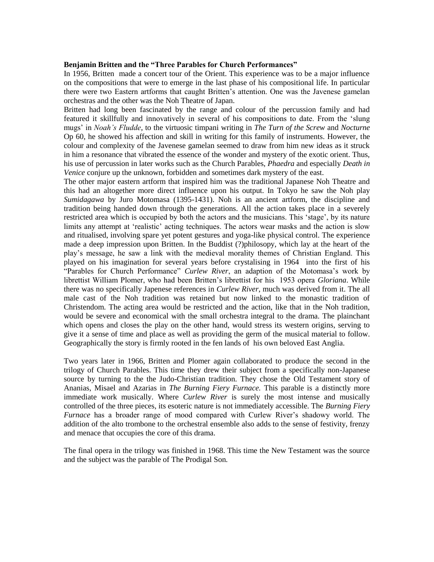#### **Benjamin Britten and the "Three Parables for Church Performances"**

In 1956, Britten made a concert tour of the Orient. This experience was to be a major influence on the compositions that were to emerge in the last phase of his compositional life. In particular there were two Eastern artforms that caught Britten's attention. One was the Javenese gamelan orchestras and the other was the Noh Theatre of Japan.

Britten had long been fascinated by the range and colour of the percussion family and had featured it skillfully and innovatively in several of his compositions to date. From the 'slung mugs' in *Noah's Fludde*, to the virtuosic timpani writing in *The Turn of the Screw* and *Nocturne*  Op 60, he showed his affection and skill in writing for this family of instruments. However, the colour and complexity of the Javenese gamelan seemed to draw from him new ideas as it struck in him a resonance that vibrated the essence of the wonder and mystery of the exotic orient. Thus, his use of percussion in later works such as the Church Parables, *Phaedra* and especially *Death in Venice* conjure up the unknown, forbidden and sometimes dark mystery of the east.

The other major eastern artform that inspired him was the traditional Japanese Noh Theatre and this had an altogether more direct influence upon his output. In Tokyo he saw the Noh play *Sumidagawa* by Juro Motomasa (1395-1431). Noh is an ancient artform, the discipline and tradition being handed down through the generations. All the action takes place in a severely restricted area which is occupied by both the actors and the musicians. This 'stage', by its nature limits any attempt at 'realistic' acting techniques. The actors wear masks and the action is slow and ritualised, involving spare yet potent gestures and yoga-like physical control. The experience made a deep impression upon Britten. In the Buddist (?)philosopy, which lay at the heart of the play's message, he saw a link with the medieval morality themes of Christian England. This played on his imagination for several years before crystalising in 1964 into the first of his "Parables for Church Performance" *Curlew River*, an adaption of the Motomasa's work by librettist William Plomer, who had been Britten's librettist for his 1953 opera *Gloriana*. While there was no specifically Japenese references in *Curlew River*, much was derived from it. The all male cast of the Noh tradition was retained but now linked to the monastic tradition of Christendom. The acting area would be restricted and the action, like that in the Noh tradition, would be severe and economical with the small orchestra integral to the drama. The plainchant which opens and closes the play on the other hand, would stress its western origins, serving to give it a sense of time and place as well as providing the germ of the musical material to follow. Geographically the story is firmly rooted in the fen lands of his own beloved East Anglia.

Two years later in 1966, Britten and Plomer again collaborated to produce the second in the trilogy of Church Parables. This time they drew their subject from a specifically non-Japanese source by turning to the the Judo-Christian tradition. They chose the Old Testament story of Ananias, Misael and Azarias in *The Burning Fiery Furnace.* This parable is a distinctly more immediate work musically. Where *Curlew River* is surely the most intense and musically controlled of the three pieces, its esoteric nature is not immediately accessible. The *Burning Fiery Furnace* has a broader range of mood compared with Curlew River's shadowy world. The addition of the alto trombone to the orchestral ensemble also adds to the sense of festivity, frenzy and menace that occupies the core of this drama.

The final opera in the trilogy was finished in 1968. This time the New Testament was the source and the subject was the parable of The Prodigal Son.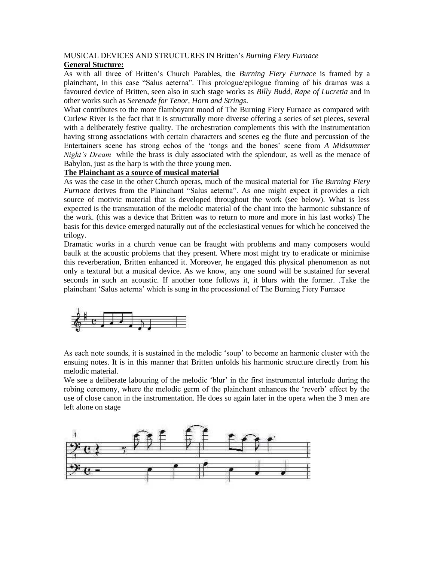#### MUSICAL DEVICES AND STRUCTURES IN Britten's *Burning Fiery Furnace* **General Stucture:**

As with all three of Britten's Church Parables, the *Burning Fiery Furnace* is framed by a plainchant, in this case "Salus aeterna". This prologue/epilogue framing of his dramas was a favoured device of Britten, seen also in such stage works as *Billy Budd, Rape of Lucretia* and in other works such as *Serenade for Tenor, Horn and Strings*.

What contributes to the more flamboyant mood of The Burning Fiery Furnace as compared with Curlew River is the fact that it is structurally more diverse offering a series of set pieces, several with a deliberately festive quality. The orchestration complements this with the instrumentation having strong associations with certain characters and scenes eg the flute and percussion of the Entertainers scene has strong echos of the 'tongs and the bones' scene from *A Midsummer Night's Dream* while the brass is duly associated with the splendour, as well as the menace of Babylon, just as the harp is with the three young men.

### **The Plainchant as a source of musical material**

As was the case in the other Church operas, much of the musical material for *The Burning Fiery Furnace* derives from the Plainchant "Salus aeterna". As one might expect it provides a rich source of motivic material that is developed throughout the work (see below). What is less expected is the transmutation of the melodic material of the chant into the harmonic substance of the work. (this was a device that Britten was to return to more and more in his last works) The basis for this device emerged naturally out of the ecclesiastical venues for which he conceived the trilogy.

Dramatic works in a church venue can be fraught with problems and many composers would baulk at the acoustic problems that they present. Where most might try to eradicate or minimise this reverberation, Britten enhanced it. Moreover, he engaged this physical phenomenon as not only a textural but a musical device. As we know, any one sound will be sustained for several seconds in such an acoustic. If another tone follows it, it blurs with the former. .Take the plainchant 'Salus aeterna' which is sung in the processional of The Burning Fiery Furnace



As each note sounds, it is sustained in the melodic 'soup' to become an harmonic cluster with the ensuing notes. It is in this manner that Britten unfolds his harmonic structure directly from his melodic material.

We see a deliberate labouring of the melodic 'blur' in the first instrumental interlude during the robing ceremony, where the melodic germ of the plainchant enhances the 'reverb' effect by the use of close canon in the instrumentation. He does so again later in the opera when the 3 men are left alone on stage

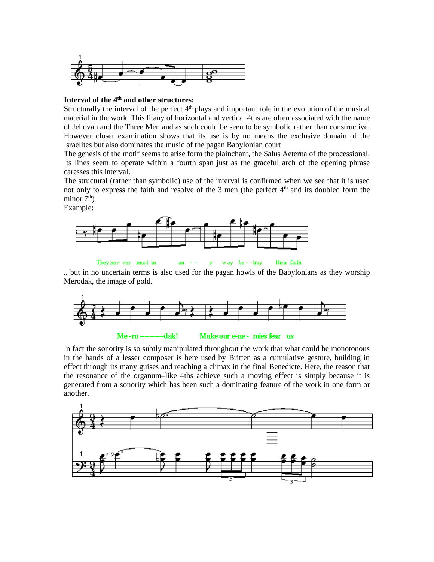

### **Interval of the 4th and other structures:**

Structurally the interval of the perfect  $4<sup>th</sup>$  plays and important role in the evolution of the musical material in the work. This litany of horizontal and vertical 4ths are often associated with the name of Jehovah and the Three Men and as such could be seen to be symbolic rather than constructive. However closer examination shows that its use is by no means the exclusive domain of the Israelites but also dominates the music of the pagan Babylonian court

The genesis of the motif seems to arise form the plainchant, the Salus Aeterna of the processional. Its lines seem to operate within a fourth span just as the graceful arch of the opening phrase caresses this interval.

The structural (rather than symbolic) use of the interval is confirmed when we see that it is used not only to express the faith and resolve of the 3 men (the perfect  $4<sup>th</sup>$  and its doubled form the minor  $7<sup>th</sup>$ )

Example:



They nev- ver must in way be - - tray their faith an  $$ y

.. but in no uncertain terms is also used for the pagan howls of the Babylonians as they worship Merodak, the image of gold.



In fact the sonority is so subtly manipulated throughout the work that what could be monotonous in the hands of a lesser composer is here used by Britten as a cumulative gesture, building in effect through its many guises and reaching a climax in the final Benedicte. Here, the reason that the resonance of the organum–like 4ths achieve such a moving effect is simply because it is generated from a sonority which has been such a dominating feature of the work in one form or another.

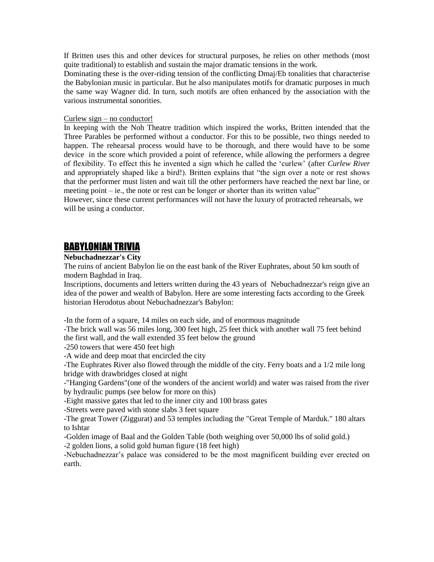If Britten uses this and other devices for structural purposes, he relies on other methods (most quite traditional) to establish and sustain the major dramatic tensions in the work.

Dominating these is the over-riding tension of the conflicting Dmaj/Eb tonalities that characterise the Babylonian music in particular. But he also manipulates motifs for dramatic purposes in much the same way Wagner did. In turn, such motifs are often enhanced by the association with the various instrumental sonorities.

#### Curlew sign  $-$  no conductor!

In keeping with the Noh Theatre tradition which inspired the works, Britten intended that the Three Parables be performed without a conductor. For this to be possible, two things needed to happen. The rehearsal process would have to be thorough, and there would have to be some device in the score which provided a point of reference, while allowing the performers a degree of flexibility. To effect this he invented a sign which he called the 'curlew' (after *Curlew River* and appropriately shaped like a bird!). Britten explains that "the sign over a note or rest shows that the performer must listen and wait till the other performers have reached the next bar line, or meeting point – ie., the note or rest can be longer or shorter than its written value"

However, since these current performances will not have the luxury of protracted rehearsals, we will be using a conductor.

## BABYLONIAN TRIVIA

#### **Nebuchadnezzar's City**

The ruins of ancient Babylon lie on the east bank of the River Euphrates, about 50 km south of modern Baghdad in Iraq.

Inscriptions, documents and letters written during the 43 years of Nebuchadnezzar's reign give an idea of the power and wealth of Babylon. Here are some interesting facts according to the Greek historian Herodotus about Nebuchadnezzar's Babylon:

-In the form of a square, 14 miles on each side, and of enormous magnitude

-The brick wall was 56 miles long, 300 feet high, 25 feet thick with another wall 75 feet behind the first wall, and the wall extended 35 feet below the ground

-250 towers that were 450 feet high

-A wide and deep moat that encircled the city

-The Euphrates River also flowed through the middle of the city. Ferry boats and a 1/2 mile long bridge with drawbridges closed at night

-"Hanging Gardens"(one of the wonders of the ancient world) and water was raised from the river by hydraulic pumps (see below for more on this)

-Eight massive gates that led to the inner city and 100 brass gates

-Streets were paved with stone slabs 3 feet square

-The great Tower (Ziggurat) and 53 temples including the "Great Temple of Marduk." 180 altars to Ishtar

-Golden image of Baal and the Golden Table (both weighing over 50,000 lbs of solid gold.)

-2 golden lions, a solid gold human figure (18 feet high)

-Nebuchadnezzar's palace was considered to be the most magnificent building ever erected on earth.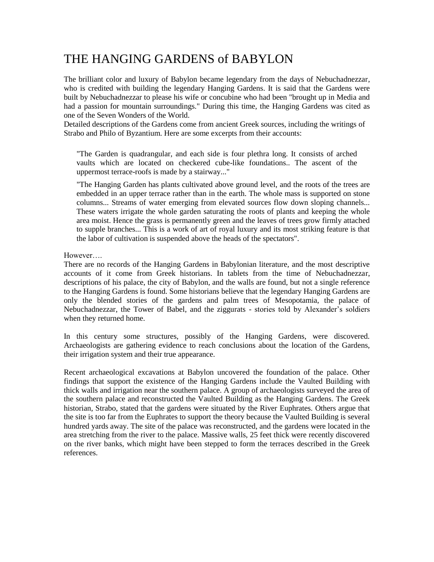# THE HANGING GARDENS of BABYLON

The brilliant color and luxury of Babylon became legendary from the days of Nebuchadnezzar, who is credited with building the legendary Hanging Gardens. It is said that the Gardens were built by Nebuchadnezzar to please his wife or concubine who had been "brought up in Media and had a passion for mountain surroundings." During this time, the Hanging Gardens was cited as one of the Seven Wonders of the World.

Detailed descriptions of the Gardens come from ancient Greek sources, including the writings of Strabo and Philo of Byzantium. Here are some excerpts from their accounts:

"The Garden is quadrangular, and each side is four plethra long. It consists of arched vaults which are located on checkered cube-like foundations.. The ascent of the uppermost terrace-roofs is made by a stairway..."

"The Hanging Garden has plants cultivated above ground level, and the roots of the trees are embedded in an upper terrace rather than in the earth. The whole mass is supported on stone columns... Streams of water emerging from elevated sources flow down sloping channels... These waters irrigate the whole garden saturating the roots of plants and keeping the whole area moist. Hence the grass is permanently green and the leaves of trees grow firmly attached to supple branches... This is a work of art of royal luxury and its most striking feature is that the labor of cultivation is suspended above the heads of the spectators".

However….

There are no records of the Hanging Gardens in Babylonian literature, and the most descriptive accounts of it come from Greek historians. In tablets from the time of Nebuchadnezzar, descriptions of his palace, the city of Babylon, and the walls are found, but not a single reference to the Hanging Gardens is found. Some historians believe that the legendary Hanging Gardens are only the blended stories of the gardens and palm trees of Mesopotamia, the palace of Nebuchadnezzar, the Tower of Babel, and the ziggurats - stories told by Alexander's soldiers when they returned home.

In this century some structures, possibly of the Hanging Gardens, were discovered. Archaeologists are gathering evidence to reach conclusions about the location of the Gardens, their irrigation system and their true appearance.

Recent archaeological excavations at Babylon uncovered the foundation of the palace. Other findings that support the existence of the Hanging Gardens include the Vaulted Building with thick walls and irrigation near the southern palace. A group of archaeologists surveyed the area of the southern palace and reconstructed the Vaulted Building as the Hanging Gardens. The Greek historian, Strabo, stated that the gardens were situated by the River Euphrates. Others argue that the site is too far from the Euphrates to support the theory because the Vaulted Building is several hundred yards away. The site of the palace was reconstructed, and the gardens were located in the area stretching from the river to the palace. Massive walls, 25 feet thick were recently discovered on the river banks, which might have been stepped to form the terraces described in the Greek references.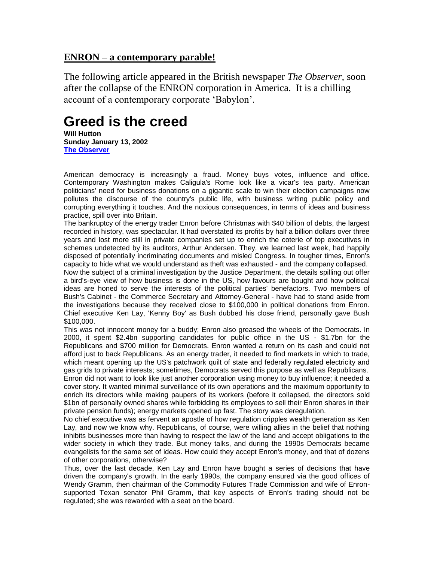# **ENRON – a contemporary parable!**

The following article appeared in the British newspaper *The Observer,* soon after the collapse of the ENRON corporation in America. It is a chilling account of a contemporary corporate 'Babylon'.

# **Greed is the creed**

**Will Hutton Sunday January 13, 2002 [The Observer](http://www.observer.co.uk/)**

American democracy is increasingly a fraud. Money buys votes, influence and office. Contemporary Washington makes Caligula's Rome look like a vicar's tea party. American politicians' need for business donations on a gigantic scale to win their election campaigns now pollutes the discourse of the country's public life, with business writing public policy and corrupting everything it touches. And the noxious consequences, in terms of ideas and business practice, spill over into Britain.

The bankruptcy of the energy trader Enron before Christmas with \$40 billion of debts, the largest recorded in history, was spectacular. It had overstated its profits by half a billion dollars over three years and lost more still in private companies set up to enrich the coterie of top executives in schemes undetected by its auditors, Arthur Andersen. They, we learned last week, had happily disposed of potentially incriminating documents and misled Congress. In tougher times, Enron's capacity to hide what we would understand as theft was exhausted - and the company collapsed. Now the subject of a criminal investigation by the Justice Department, the details spilling out offer a bird's-eye view of how business is done in the US, how favours are bought and how political ideas are honed to serve the interests of the political parties' benefactors. Two members of Bush's Cabinet - the Commerce Secretary and Attorney-General - have had to stand aside from the investigations because they received close to \$100,000 in political donations from Enron. Chief executive Ken Lay, 'Kenny Boy' as Bush dubbed his close friend, personally gave Bush \$100,000.

This was not innocent money for a buddy; Enron also greased the wheels of the Democrats. In 2000, it spent \$2.4bn supporting candidates for public office in the US - \$1.7bn for the Republicans and \$700 million for Democrats. Enron wanted a return on its cash and could not afford just to back Republicans. As an energy trader, it needed to find markets in which to trade, which meant opening up the US's patchwork quilt of state and federally regulated electricity and gas grids to private interests; sometimes, Democrats served this purpose as well as Republicans. Enron did not want to look like just another corporation using money to buy influence; it needed a cover story. It wanted minimal surveillance of its own operations and the maximum opportunity to enrich its directors while making paupers of its workers (before it collapsed, the directors sold \$1bn of personally owned shares while forbidding its employees to sell their Enron shares in their private pension funds); energy markets opened up fast. The story was deregulation.

No chief executive was as fervent an apostle of how regulation cripples wealth generation as Ken Lay, and now we know why. Republicans, of course, were willing allies in the belief that nothing inhibits businesses more than having to respect the law of the land and accept obligations to the wider society in which they trade. But money talks, and during the 1990s Democrats became evangelists for the same set of ideas. How could they accept Enron's money, and that of dozens of other corporations, otherwise?

Thus, over the last decade, Ken Lay and Enron have bought a series of decisions that have driven the company's growth. In the early 1990s, the company ensured via the good offices of Wendy Gramm, then chairman of the Commodity Futures Trade Commission and wife of Enronsupported Texan senator Phil Gramm, that key aspects of Enron's trading should not be regulated; she was rewarded with a seat on the board.